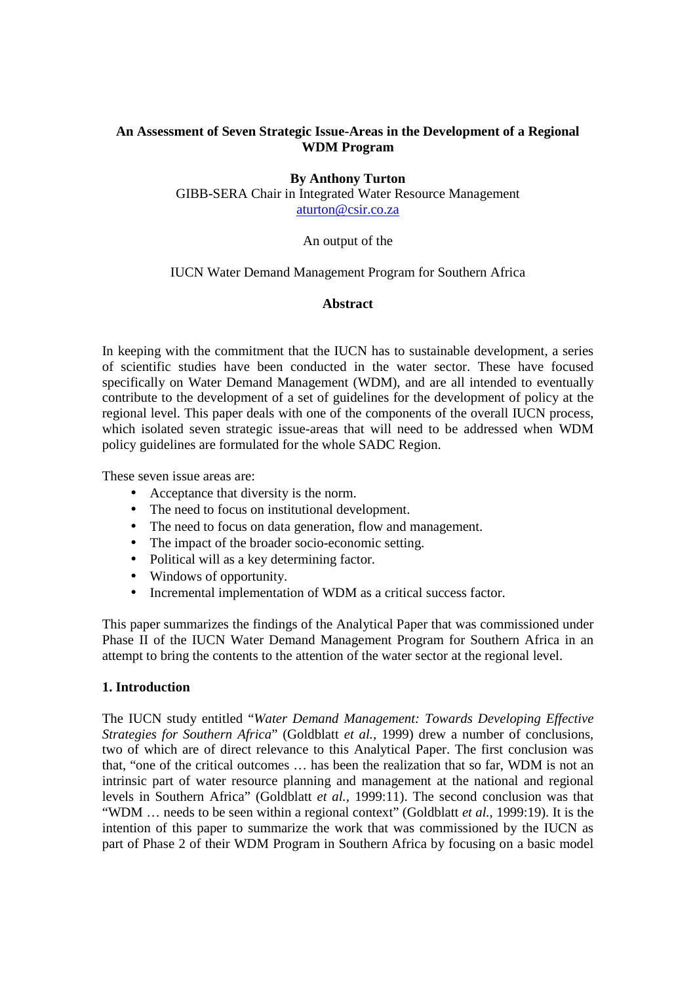## **An Assessment of Seven Strategic Issue-Areas in the Development of a Regional WDM Program**

## **By Anthony Turton**

GIBB-SERA Chair in Integrated Water Resource Management aturton@csir.co.za

#### An output of the

#### IUCN Water Demand Management Program for Southern Africa

## **Abstract**

In keeping with the commitment that the IUCN has to sustainable development, a series of scientific studies have been conducted in the water sector. These have focused specifically on Water Demand Management (WDM), and are all intended to eventually contribute to the development of a set of guidelines for the development of policy at the regional level. This paper deals with one of the components of the overall IUCN process, which isolated seven strategic issue-areas that will need to be addressed when WDM policy guidelines are formulated for the whole SADC Region.

These seven issue areas are:

- Acceptance that diversity is the norm.
- The need to focus on institutional development.
- The need to focus on data generation, flow and management.
- The impact of the broader socio-economic setting.
- Political will as a key determining factor.
- Windows of opportunity.
- Incremental implementation of WDM as a critical success factor.

This paper summarizes the findings of the Analytical Paper that was commissioned under Phase II of the IUCN Water Demand Management Program for Southern Africa in an attempt to bring the contents to the attention of the water sector at the regional level.

## **1. Introduction**

The IUCN study entitled "*Water Demand Management: Towards Developing Effective Strategies for Southern Africa*" (Goldblatt *et al.,* 1999) drew a number of conclusions, two of which are of direct relevance to this Analytical Paper. The first conclusion was that, "one of the critical outcomes … has been the realization that so far, WDM is not an intrinsic part of water resource planning and management at the national and regional levels in Southern Africa" (Goldblatt *et al.,* 1999:11). The second conclusion was that "WDM … needs to be seen within a regional context" (Goldblatt *et al.,* 1999:19). It is the intention of this paper to summarize the work that was commissioned by the IUCN as part of Phase 2 of their WDM Program in Southern Africa by focusing on a basic model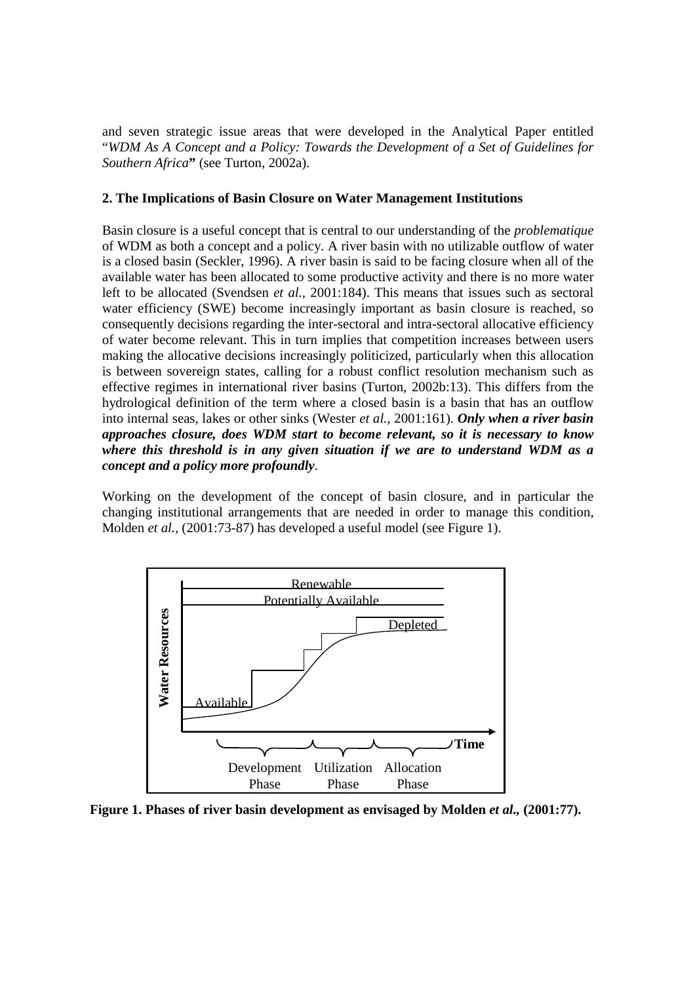and seven strategic issue areas that were developed in the Analytical Paper entitled "*WDM As A Concept and a Policy: Towards the Development of a Set of Guidelines for Southern Africa***"** (see Turton, 2002a).

## **2. The Implications of Basin Closure on Water Management Institutions**

Basin closure is a useful concept that is central to our understanding of the *problematique* of WDM as both a concept and a policy. A river basin with no utilizable outflow of water is a closed basin (Seckler, 1996). A river basin is said to be facing closure when all of the available water has been allocated to some productive activity and there is no more water left to be allocated (Svendsen *et al.,* 2001:184). This means that issues such as sectoral water efficiency (SWE) become increasingly important as basin closure is reached, so consequently decisions regarding the inter-sectoral and intra-sectoral allocative efficiency of water become relevant. This in turn implies that competition increases between users making the allocative decisions increasingly politicized, particularly when this allocation is between sovereign states, calling for a robust conflict resolution mechanism such as effective regimes in international river basins (Turton, 2002b:13). This differs from the hydrological definition of the term where a closed basin is a basin that has an outflow into internal seas, lakes or other sinks (Wester *et al.,* 2001:161). *Only when a river basin approaches closure, does WDM start to become relevant, so it is necessary to know where this threshold is in any given situation if we are to understand WDM as a concept and a policy more profoundly*.

Working on the development of the concept of basin closure, and in particular the changing institutional arrangements that are needed in order to manage this condition, Molden *et al.,* (2001:73-87) has developed a useful model (see Figure 1).



Figure 1. Phases of river basin development as envisaged by Molden *et al.*, (2001:77).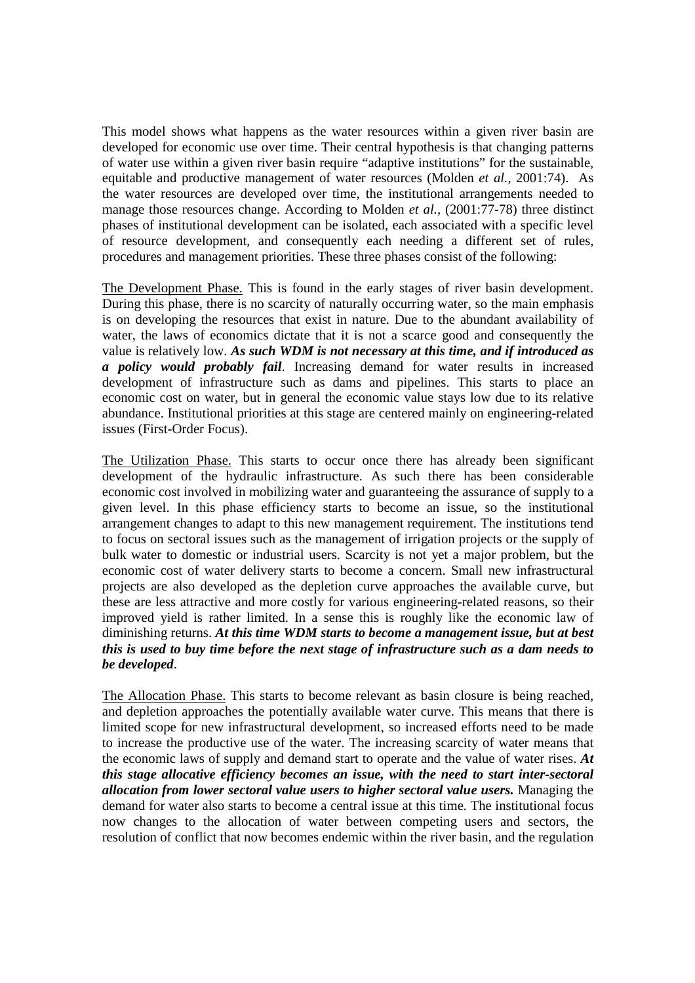This model shows what happens as the water resources within a given river basin are developed for economic use over time. Their central hypothesis is that changing patterns of water use within a given river basin require "adaptive institutions" for the sustainable, equitable and productive management of water resources (Molden *et al.,* 2001:74). As the water resources are developed over time, the institutional arrangements needed to manage those resources change. According to Molden *et al.,* (2001:77-78) three distinct phases of institutional development can be isolated, each associated with a specific level of resource development, and consequently each needing a different set of rules, procedures and management priorities. These three phases consist of the following:

The Development Phase. This is found in the early stages of river basin development. During this phase, there is no scarcity of naturally occurring water, so the main emphasis is on developing the resources that exist in nature. Due to the abundant availability of water, the laws of economics dictate that it is not a scarce good and consequently the value is relatively low. *As such WDM is not necessary at this time, and if introduced as a policy would probably fail*. Increasing demand for water results in increased development of infrastructure such as dams and pipelines. This starts to place an economic cost on water, but in general the economic value stays low due to its relative abundance. Institutional priorities at this stage are centered mainly on engineering-related issues (First-Order Focus).

The Utilization Phase. This starts to occur once there has already been significant development of the hydraulic infrastructure. As such there has been considerable economic cost involved in mobilizing water and guaranteeing the assurance of supply to a given level. In this phase efficiency starts to become an issue, so the institutional arrangement changes to adapt to this new management requirement. The institutions tend to focus on sectoral issues such as the management of irrigation projects or the supply of bulk water to domestic or industrial users. Scarcity is not yet a major problem, but the economic cost of water delivery starts to become a concern. Small new infrastructural projects are also developed as the depletion curve approaches the available curve, but these are less attractive and more costly for various engineering-related reasons, so their improved yield is rather limited. In a sense this is roughly like the economic law of diminishing returns. *At this time WDM starts to become a management issue, but at best this is used to buy time before the next stage of infrastructure such as a dam needs to be developed*.

The Allocation Phase. This starts to become relevant as basin closure is being reached, and depletion approaches the potentially available water curve. This means that there is limited scope for new infrastructural development, so increased efforts need to be made to increase the productive use of the water. The increasing scarcity of water means that the economic laws of supply and demand start to operate and the value of water rises. *At this stage allocative efficiency becomes an issue, with the need to start inter-sectoral allocation from lower sectoral value users to higher sectoral value users.* Managing the demand for water also starts to become a central issue at this time. The institutional focus now changes to the allocation of water between competing users and sectors, the resolution of conflict that now becomes endemic within the river basin, and the regulation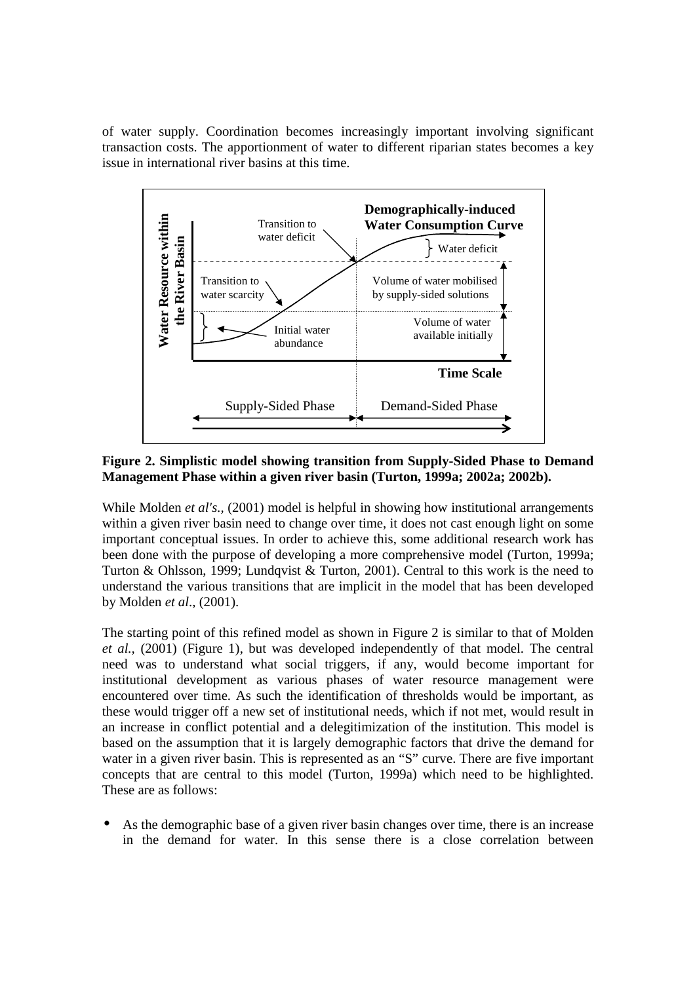of water supply. Coordination becomes increasingly important involving significant transaction costs. The apportionment of water to different riparian states becomes a key issue in international river basins at this time.



**Figure 2. Simplistic model showing transition from Supply-Sided Phase to Demand Management Phase within a given river basin (Turton, 1999a; 2002a; 2002b).**

While Molden *et al's.*, (2001) model is helpful in showing how institutional arrangements within a given river basin need to change over time, it does not cast enough light on some important conceptual issues. In order to achieve this, some additional research work has been done with the purpose of developing a more comprehensive model (Turton, 1999a; Turton & Ohlsson, 1999; Lundqvist & Turton, 2001). Central to this work is the need to understand the various transitions that are implicit in the model that has been developed by Molden *et al*., (2001).

The starting point of this refined model as shown in Figure 2 is similar to that of Molden *et al.,* (2001) (Figure 1), but was developed independently of that model. The central need was to understand what social triggers, if any, would become important for institutional development as various phases of water resource management were encountered over time. As such the identification of thresholds would be important, as these would trigger off a new set of institutional needs, which if not met, would result in an increase in conflict potential and a delegitimization of the institution. This model is based on the assumption that it is largely demographic factors that drive the demand for water in a given river basin. This is represented as an "S" curve. There are five important concepts that are central to this model (Turton, 1999a) which need to be highlighted. These are as follows:

• As the demographic base of a given river basin changes over time, there is an increase in the demand for water. In this sense there is a close correlation between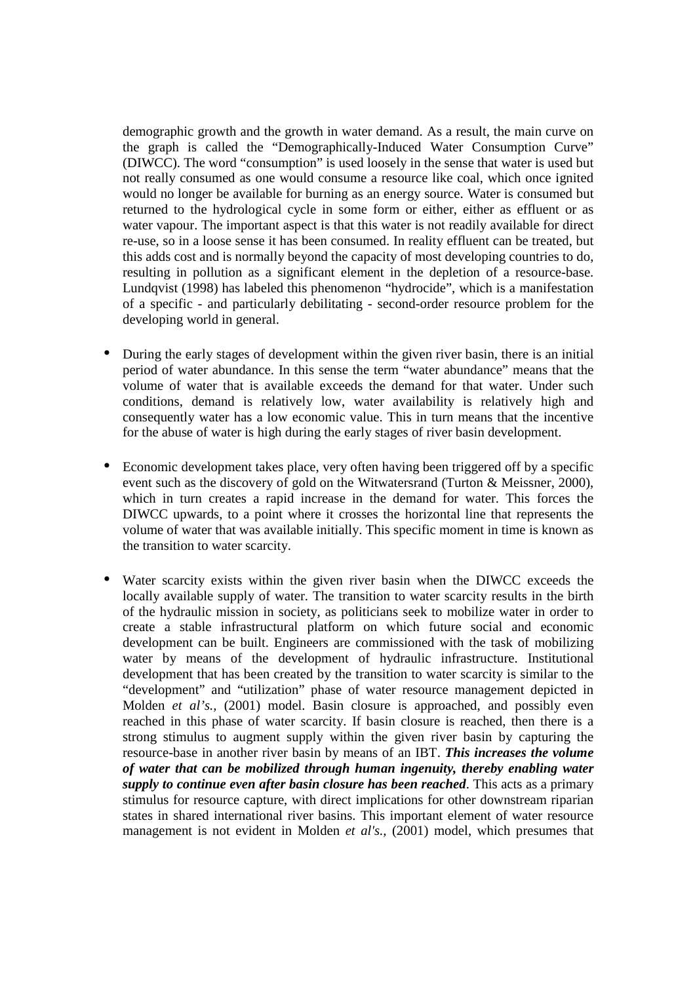demographic growth and the growth in water demand. As a result, the main curve on the graph is called the "Demographically-Induced Water Consumption Curve" (DIWCC). The word "consumption" is used loosely in the sense that water is used but not really consumed as one would consume a resource like coal, which once ignited would no longer be available for burning as an energy source. Water is consumed but returned to the hydrological cycle in some form or either, either as effluent or as water vapour. The important aspect is that this water is not readily available for direct re-use, so in a loose sense it has been consumed. In reality effluent can be treated, but this adds cost and is normally beyond the capacity of most developing countries to do, resulting in pollution as a significant element in the depletion of a resource-base. Lundqvist (1998) has labeled this phenomenon "hydrocide", which is a manifestation of a specific - and particularly debilitating - second-order resource problem for the developing world in general.

- During the early stages of development within the given river basin, there is an initial period of water abundance. In this sense the term "water abundance" means that the volume of water that is available exceeds the demand for that water. Under such conditions, demand is relatively low, water availability is relatively high and consequently water has a low economic value. This in turn means that the incentive for the abuse of water is high during the early stages of river basin development.
- Economic development takes place, very often having been triggered off by a specific event such as the discovery of gold on the Witwatersrand (Turton & Meissner, 2000), which in turn creates a rapid increase in the demand for water. This forces the DIWCC upwards, to a point where it crosses the horizontal line that represents the volume of water that was available initially. This specific moment in time is known as the transition to water scarcity.
- Water scarcity exists within the given river basin when the DIWCC exceeds the locally available supply of water. The transition to water scarcity results in the birth of the hydraulic mission in society, as politicians seek to mobilize water in order to create a stable infrastructural platform on which future social and economic development can be built. Engineers are commissioned with the task of mobilizing water by means of the development of hydraulic infrastructure. Institutional development that has been created by the transition to water scarcity is similar to the "development" and "utilization" phase of water resource management depicted in Molden *et al's.,* (2001) model. Basin closure is approached, and possibly even reached in this phase of water scarcity. If basin closure is reached, then there is a strong stimulus to augment supply within the given river basin by capturing the resource-base in another river basin by means of an IBT. *This increases the volume of water that can be mobilized through human ingenuity, thereby enabling water supply to continue even after basin closure has been reached*. This acts as a primary stimulus for resource capture, with direct implications for other downstream riparian states in shared international river basins. This important element of water resource management is not evident in Molden *et al's.,* (2001) model, which presumes that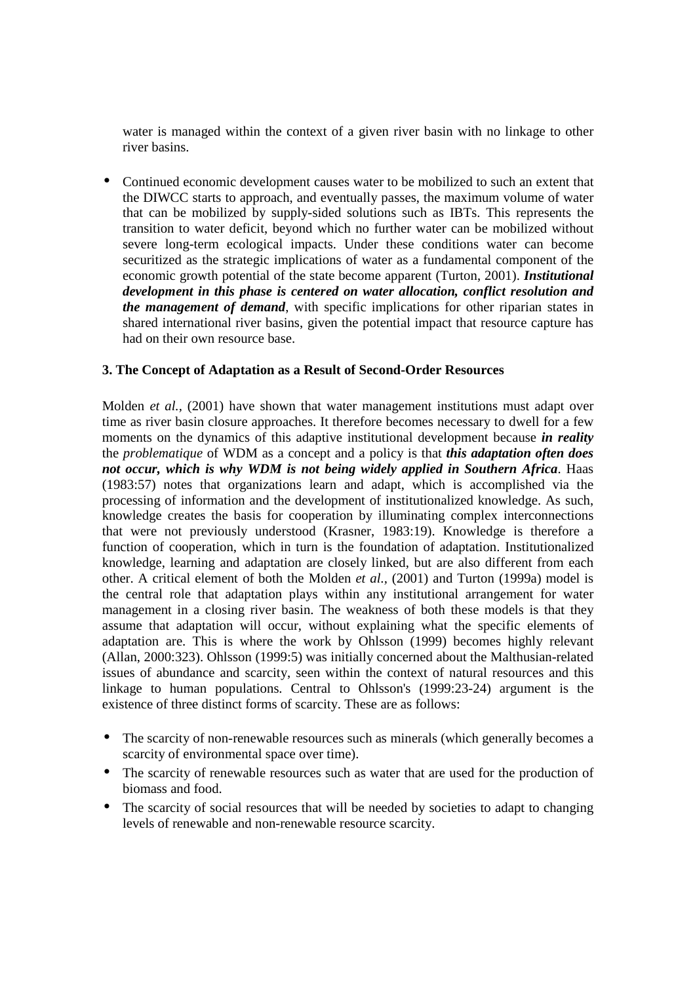water is managed within the context of a given river basin with no linkage to other river basins.

• Continued economic development causes water to be mobilized to such an extent that the DIWCC starts to approach, and eventually passes, the maximum volume of water that can be mobilized by supply-sided solutions such as IBTs. This represents the transition to water deficit, beyond which no further water can be mobilized without severe long-term ecological impacts. Under these conditions water can become securitized as the strategic implications of water as a fundamental component of the economic growth potential of the state become apparent (Turton, 2001). *Institutional development in this phase is centered on water allocation, conflict resolution and the management of demand*, with specific implications for other riparian states in shared international river basins, given the potential impact that resource capture has had on their own resource base.

## **3. The Concept of Adaptation as a Result of Second-Order Resources**

Molden *et al.,* (2001) have shown that water management institutions must adapt over time as river basin closure approaches. It therefore becomes necessary to dwell for a few moments on the dynamics of this adaptive institutional development because *in reality* the *problematique* of WDM as a concept and a policy is that *this adaptation often does not occur, which is why WDM is not being widely applied in Southern Africa*. Haas (1983:57) notes that organizations learn and adapt, which is accomplished via the processing of information and the development of institutionalized knowledge. As such, knowledge creates the basis for cooperation by illuminating complex interconnections that were not previously understood (Krasner, 1983:19). Knowledge is therefore a function of cooperation, which in turn is the foundation of adaptation. Institutionalized knowledge, learning and adaptation are closely linked, but are also different from each other. A critical element of both the Molden *et al.,* (2001) and Turton (1999a) model is the central role that adaptation plays within any institutional arrangement for water management in a closing river basin. The weakness of both these models is that they assume that adaptation will occur, without explaining what the specific elements of adaptation are. This is where the work by Ohlsson (1999) becomes highly relevant (Allan, 2000:323). Ohlsson (1999:5) was initially concerned about the Malthusian-related issues of abundance and scarcity, seen within the context of natural resources and this linkage to human populations. Central to Ohlsson's (1999:23-24) argument is the existence of three distinct forms of scarcity. These are as follows:

- The scarcity of non-renewable resources such as minerals (which generally becomes a scarcity of environmental space over time).
- The scarcity of renewable resources such as water that are used for the production of biomass and food.
- The scarcity of social resources that will be needed by societies to adapt to changing levels of renewable and non-renewable resource scarcity.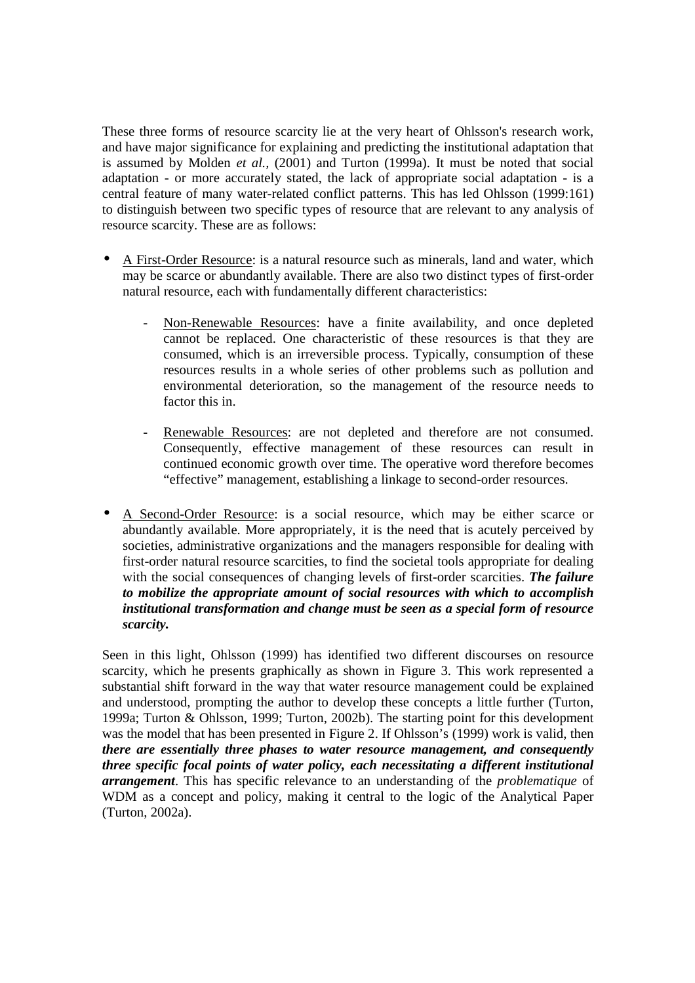These three forms of resource scarcity lie at the very heart of Ohlsson's research work, and have major significance for explaining and predicting the institutional adaptation that is assumed by Molden *et al.,* (2001) and Turton (1999a). It must be noted that social adaptation - or more accurately stated, the lack of appropriate social adaptation - is a central feature of many water-related conflict patterns. This has led Ohlsson (1999:161) to distinguish between two specific types of resource that are relevant to any analysis of resource scarcity. These are as follows:

- A First-Order Resource: is a natural resource such as minerals, land and water, which may be scarce or abundantly available. There are also two distinct types of first-order natural resource, each with fundamentally different characteristics:
	- Non-Renewable Resources: have a finite availability, and once depleted cannot be replaced. One characteristic of these resources is that they are consumed, which is an irreversible process. Typically, consumption of these resources results in a whole series of other problems such as pollution and environmental deterioration, so the management of the resource needs to factor this in.
	- Renewable Resources: are not depleted and therefore are not consumed. Consequently, effective management of these resources can result in continued economic growth over time. The operative word therefore becomes "effective" management, establishing a linkage to second-order resources.
- A Second-Order Resource: is a social resource, which may be either scarce or abundantly available. More appropriately, it is the need that is acutely perceived by societies, administrative organizations and the managers responsible for dealing with first-order natural resource scarcities, to find the societal tools appropriate for dealing with the social consequences of changing levels of first-order scarcities. *The failure to mobilize the appropriate amount of social resources with which to accomplish institutional transformation and change must be seen as a special form of resource scarcity.*

Seen in this light, Ohlsson (1999) has identified two different discourses on resource scarcity, which he presents graphically as shown in Figure 3. This work represented a substantial shift forward in the way that water resource management could be explained and understood, prompting the author to develop these concepts a little further (Turton, 1999a; Turton & Ohlsson, 1999; Turton, 2002b). The starting point for this development was the model that has been presented in Figure 2. If Ohlsson's (1999) work is valid, then *there are essentially three phases to water resource management, and consequently three specific focal points of water policy, each necessitating a different institutional arrangement*. This has specific relevance to an understanding of the *problematique* of WDM as a concept and policy, making it central to the logic of the Analytical Paper (Turton, 2002a).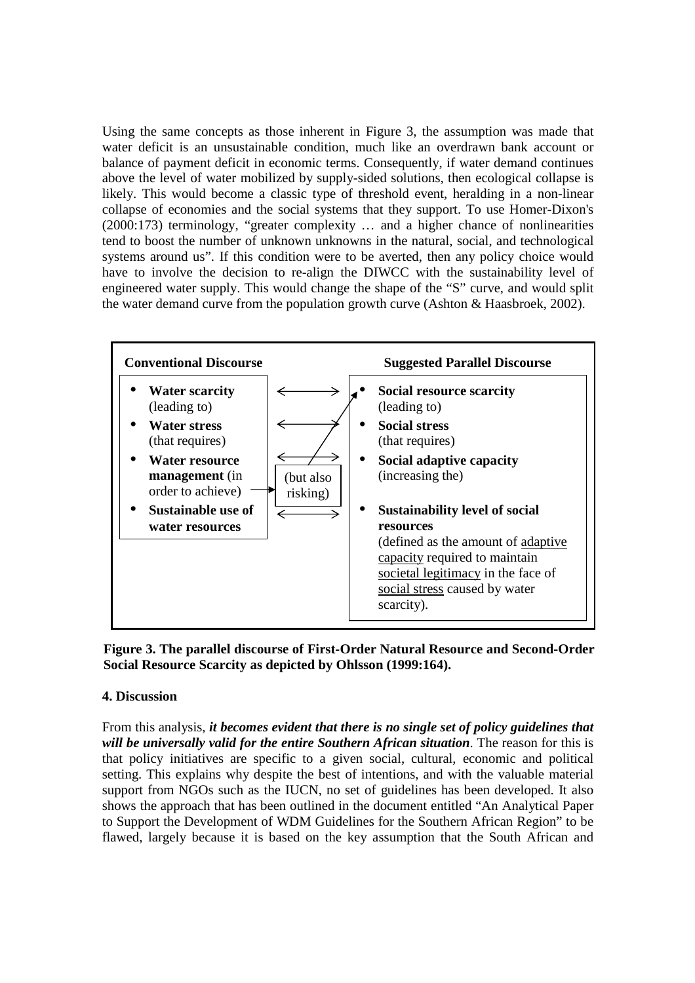Using the same concepts as those inherent in Figure 3, the assumption was made that water deficit is an unsustainable condition, much like an overdrawn bank account or balance of payment deficit in economic terms. Consequently, if water demand continues above the level of water mobilized by supply-sided solutions, then ecological collapse is likely. This would become a classic type of threshold event, heralding in a non-linear collapse of economies and the social systems that they support. To use Homer-Dixon's (2000:173) terminology, "greater complexity … and a higher chance of nonlinearities tend to boost the number of unknown unknowns in the natural, social, and technological systems around us". If this condition were to be averted, then any policy choice would have to involve the decision to re-align the DIWCC with the sustainability level of engineered water supply. This would change the shape of the "S" curve, and would split the water demand curve from the population growth curve (Ashton & Haasbroek, 2002).



**Figure 3. The parallel discourse of First-Order Natural Resource and Second-Order Social Resource Scarcity as depicted by Ohlsson (1999:164).** 

## **4. Discussion**

From this analysis, *it becomes evident that there is no single set of policy guidelines that will be universally valid for the entire Southern African situation*. The reason for this is that policy initiatives are specific to a given social, cultural, economic and political setting. This explains why despite the best of intentions, and with the valuable material support from NGOs such as the IUCN, no set of guidelines has been developed. It also shows the approach that has been outlined in the document entitled "An Analytical Paper to Support the Development of WDM Guidelines for the Southern African Region" to be flawed, largely because it is based on the key assumption that the South African and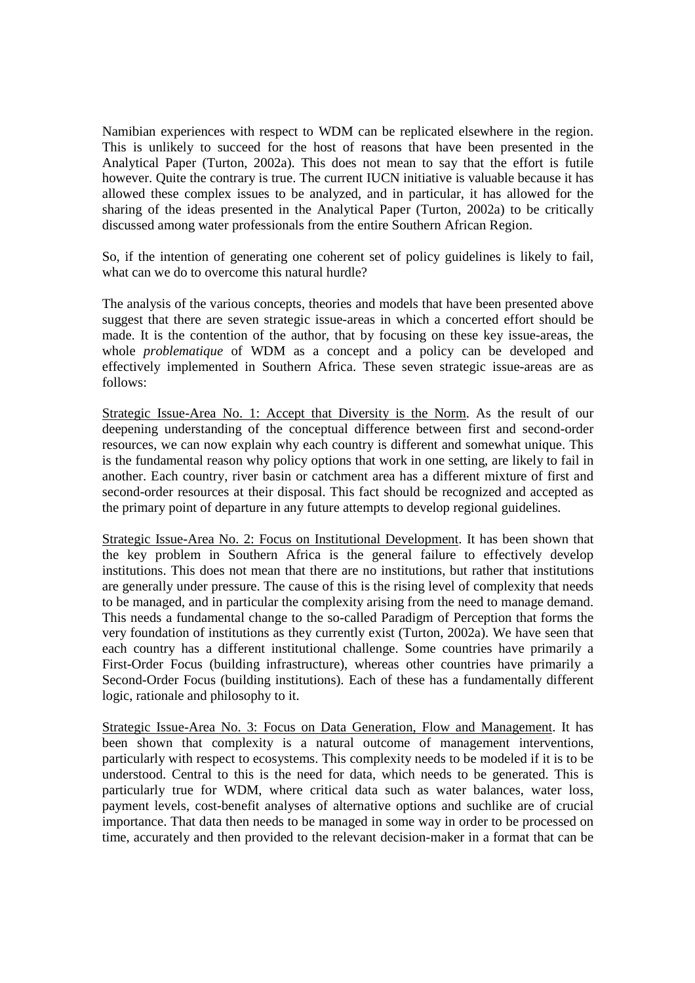Namibian experiences with respect to WDM can be replicated elsewhere in the region. This is unlikely to succeed for the host of reasons that have been presented in the Analytical Paper (Turton, 2002a). This does not mean to say that the effort is futile however. Quite the contrary is true. The current IUCN initiative is valuable because it has allowed these complex issues to be analyzed, and in particular, it has allowed for the sharing of the ideas presented in the Analytical Paper (Turton, 2002a) to be critically discussed among water professionals from the entire Southern African Region.

So, if the intention of generating one coherent set of policy guidelines is likely to fail, what can we do to overcome this natural hurdle?

The analysis of the various concepts, theories and models that have been presented above suggest that there are seven strategic issue-areas in which a concerted effort should be made. It is the contention of the author, that by focusing on these key issue-areas, the whole *problematique* of WDM as a concept and a policy can be developed and effectively implemented in Southern Africa. These seven strategic issue-areas are as follows:

Strategic Issue-Area No. 1: Accept that Diversity is the Norm. As the result of our deepening understanding of the conceptual difference between first and second-order resources, we can now explain why each country is different and somewhat unique. This is the fundamental reason why policy options that work in one setting, are likely to fail in another. Each country, river basin or catchment area has a different mixture of first and second-order resources at their disposal. This fact should be recognized and accepted as the primary point of departure in any future attempts to develop regional guidelines.

Strategic Issue-Area No. 2: Focus on Institutional Development. It has been shown that the key problem in Southern Africa is the general failure to effectively develop institutions. This does not mean that there are no institutions, but rather that institutions are generally under pressure. The cause of this is the rising level of complexity that needs to be managed, and in particular the complexity arising from the need to manage demand. This needs a fundamental change to the so-called Paradigm of Perception that forms the very foundation of institutions as they currently exist (Turton, 2002a). We have seen that each country has a different institutional challenge. Some countries have primarily a First-Order Focus (building infrastructure), whereas other countries have primarily a Second-Order Focus (building institutions). Each of these has a fundamentally different logic, rationale and philosophy to it.

Strategic Issue-Area No. 3: Focus on Data Generation, Flow and Management. It has been shown that complexity is a natural outcome of management interventions, particularly with respect to ecosystems. This complexity needs to be modeled if it is to be understood. Central to this is the need for data, which needs to be generated. This is particularly true for WDM, where critical data such as water balances, water loss, payment levels, cost-benefit analyses of alternative options and suchlike are of crucial importance. That data then needs to be managed in some way in order to be processed on time, accurately and then provided to the relevant decision-maker in a format that can be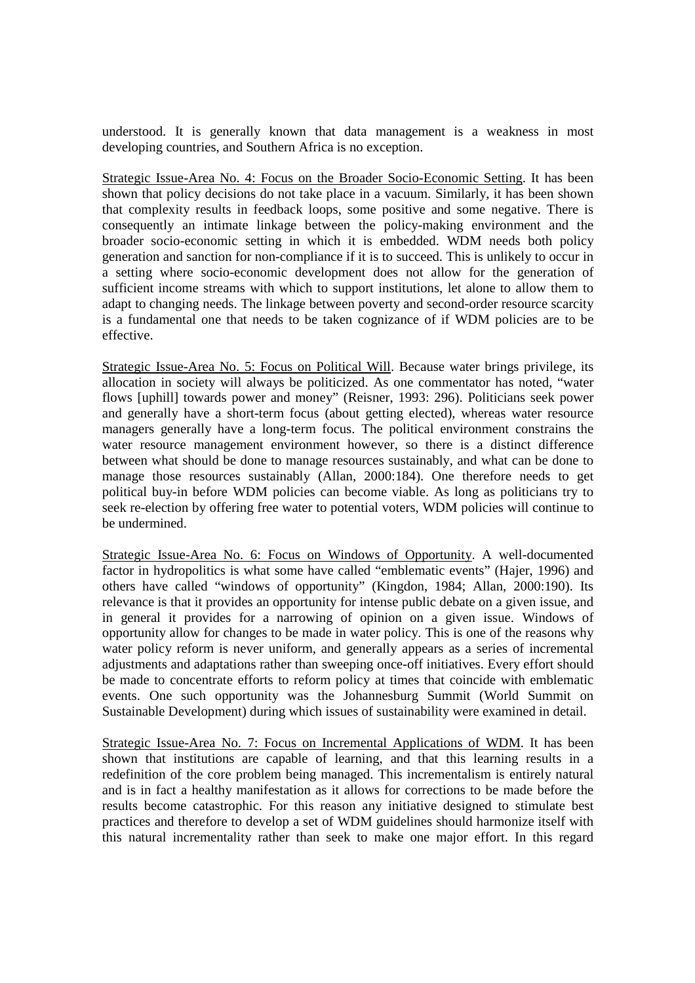understood. It is generally known that data management is a weakness in most developing countries, and Southern Africa is no exception.

Strategic Issue-Area No. 4: Focus on the Broader Socio-Economic Setting. It has been shown that policy decisions do not take place in a vacuum. Similarly, it has been shown that complexity results in feedback loops, some positive and some negative. There is consequently an intimate linkage between the policy-making environment and the broader socio-economic setting in which it is embedded. WDM needs both policy generation and sanction for non-compliance if it is to succeed. This is unlikely to occur in a setting where socio-economic development does not allow for the generation of sufficient income streams with which to support institutions, let alone to allow them to adapt to changing needs. The linkage between poverty and second-order resource scarcity is a fundamental one that needs to be taken cognizance of if WDM policies are to be effective.

Strategic Issue-Area No. 5: Focus on Political Will. Because water brings privilege, its allocation in society will always be politicized. As one commentator has noted, "water flows [uphill] towards power and money" (Reisner, 1993: 296). Politicians seek power and generally have a short-term focus (about getting elected), whereas water resource managers generally have a long-term focus. The political environment constrains the water resource management environment however, so there is a distinct difference between what should be done to manage resources sustainably, and what can be done to manage those resources sustainably (Allan, 2000:184). One therefore needs to get political buy-in before WDM policies can become viable. As long as politicians try to seek re-election by offering free water to potential voters, WDM policies will continue to be undermined.

Strategic Issue-Area No. 6: Focus on Windows of Opportunity. A well-documented factor in hydropolitics is what some have called "emblematic events" (Hajer, 1996) and others have called "windows of opportunity" (Kingdon, 1984; Allan, 2000:190). Its relevance is that it provides an opportunity for intense public debate on a given issue, and in general it provides for a narrowing of opinion on a given issue. Windows of opportunity allow for changes to be made in water policy. This is one of the reasons why water policy reform is never uniform, and generally appears as a series of incremental adjustments and adaptations rather than sweeping once-off initiatives. Every effort should be made to concentrate efforts to reform policy at times that coincide with emblematic events. One such opportunity was the Johannesburg Summit (World Summit on Sustainable Development) during which issues of sustainability were examined in detail.

Strategic Issue-Area No. 7: Focus on Incremental Applications of WDM. It has been shown that institutions are capable of learning, and that this learning results in a redefinition of the core problem being managed. This incrementalism is entirely natural and is in fact a healthy manifestation as it allows for corrections to be made before the results become catastrophic. For this reason any initiative designed to stimulate best practices and therefore to develop a set of WDM guidelines should harmonize itself with this natural incrementality rather than seek to make one major effort. In this regard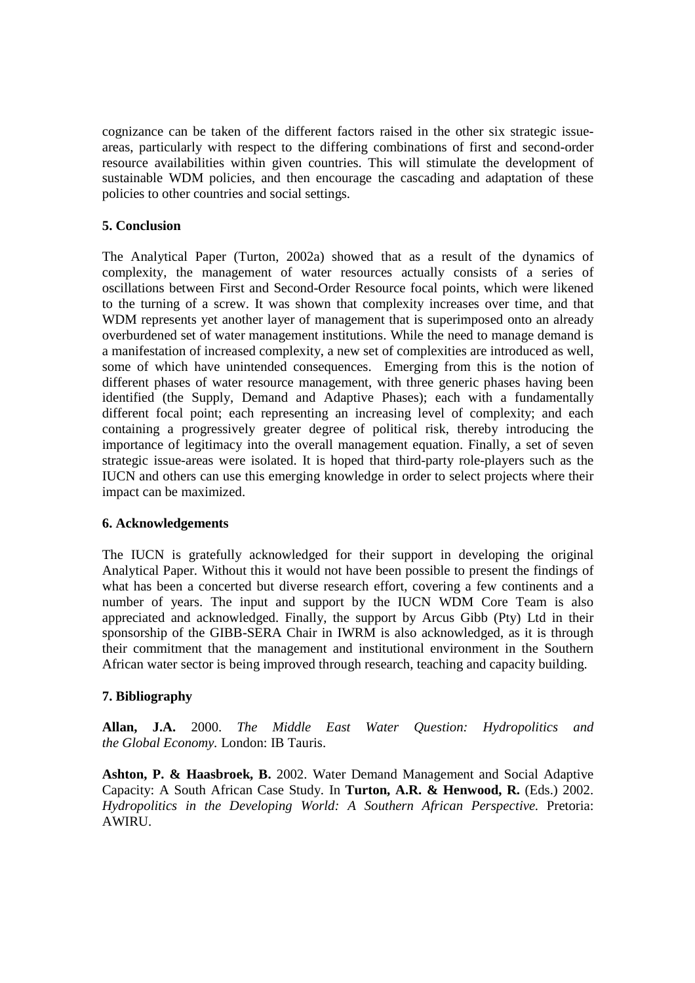cognizance can be taken of the different factors raised in the other six strategic issueareas, particularly with respect to the differing combinations of first and second-order resource availabilities within given countries. This will stimulate the development of sustainable WDM policies, and then encourage the cascading and adaptation of these policies to other countries and social settings.

# **5. Conclusion**

The Analytical Paper (Turton, 2002a) showed that as a result of the dynamics of complexity, the management of water resources actually consists of a series of oscillations between First and Second-Order Resource focal points, which were likened to the turning of a screw. It was shown that complexity increases over time, and that WDM represents yet another layer of management that is superimposed onto an already overburdened set of water management institutions. While the need to manage demand is a manifestation of increased complexity, a new set of complexities are introduced as well, some of which have unintended consequences. Emerging from this is the notion of different phases of water resource management, with three generic phases having been identified (the Supply, Demand and Adaptive Phases); each with a fundamentally different focal point; each representing an increasing level of complexity; and each containing a progressively greater degree of political risk, thereby introducing the importance of legitimacy into the overall management equation. Finally, a set of seven strategic issue-areas were isolated. It is hoped that third-party role-players such as the IUCN and others can use this emerging knowledge in order to select projects where their impact can be maximized.

## **6. Acknowledgements**

The IUCN is gratefully acknowledged for their support in developing the original Analytical Paper. Without this it would not have been possible to present the findings of what has been a concerted but diverse research effort, covering a few continents and a number of years. The input and support by the IUCN WDM Core Team is also appreciated and acknowledged. Finally, the support by Arcus Gibb (Pty) Ltd in their sponsorship of the GIBB-SERA Chair in IWRM is also acknowledged, as it is through their commitment that the management and institutional environment in the Southern African water sector is being improved through research, teaching and capacity building.

## **7. Bibliography**

**Allan, J.A.** 2000. *The Middle East Water Question: Hydropolitics and the Global Economy.* London: IB Tauris.

**Ashton, P. & Haasbroek, B.** 2002. Water Demand Management and Social Adaptive Capacity: A South African Case Study. In **Turton, A.R. & Henwood, R.** (Eds.) 2002. *Hydropolitics in the Developing World: A Southern African Perspective*. Pretoria: AWIRU.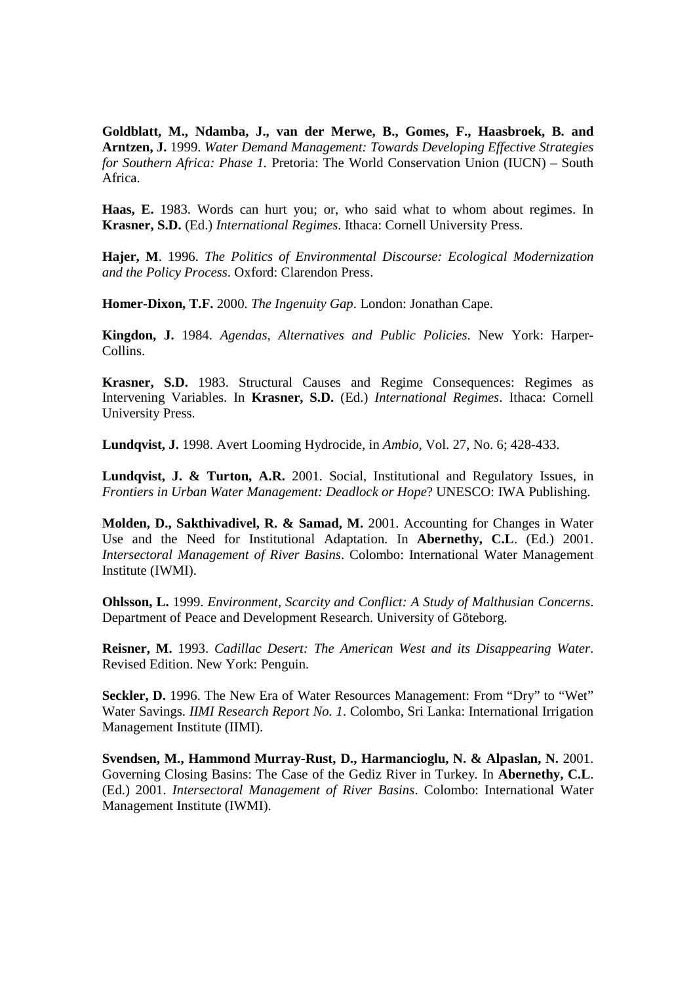**Goldblatt, M., Ndamba, J., van der Merwe, B., Gomes, F., Haasbroek, B. and Arntzen, J.** 1999. *Water Demand Management: Towards Developing Effective Strategies for Southern Africa: Phase 1.* Pretoria: The World Conservation Union (IUCN) – South Africa.

**Haas, E.** 1983. Words can hurt you; or, who said what to whom about regimes. In **Krasner, S.D.** (Ed.) *International Regimes*. Ithaca: Cornell University Press.

**Hajer, M**. 1996. *The Politics of Environmental Discourse: Ecological Modernization and the Policy Process*. Oxford: Clarendon Press.

**Homer-Dixon, T.F.** 2000. *The Ingenuity Gap*. London: Jonathan Cape.

**Kingdon, J.** 1984. *Agendas, Alternatives and Public Policies*. New York: Harper-Collins.

**Krasner, S.D.** 1983. Structural Causes and Regime Consequences: Regimes as Intervening Variables. In **Krasner, S.D.** (Ed.) *International Regimes*. Ithaca: Cornell University Press.

**Lundqvist, J.** 1998. Avert Looming Hydrocide, in *Ambio*, Vol. 27, No. 6; 428-433.

**Lundqvist, J. & Turton, A.R.** 2001. Social, Institutional and Regulatory Issues, in *Frontiers in Urban Water Management: Deadlock or Hope*? UNESCO: IWA Publishing.

**Molden, D., Sakthivadivel, R. & Samad, M.** 2001. Accounting for Changes in Water Use and the Need for Institutional Adaptation*.* In **Abernethy, C.L**. (Ed.) 2001. *Intersectoral Management of River Basins*. Colombo: International Water Management Institute (IWMI).

**Ohlsson, L.** 1999. *Environment, Scarcity and Conflict: A Study of Malthusian Concerns*. Department of Peace and Development Research. University of Göteborg.

**Reisner, M.** 1993. *Cadillac Desert: The American West and its Disappearing Water*. Revised Edition. New York: Penguin.

**Seckler, D.** 1996. The New Era of Water Resources Management: From "Dry" to "Wet" Water Savings. *IIMI Research Report No. 1*. Colombo, Sri Lanka: International Irrigation Management Institute (IIMI).

**Svendsen, M., Hammond Murray-Rust, D., Harmancioglu, N. & Alpaslan, N.** 2001. Governing Closing Basins: The Case of the Gediz River in Turkey*.* In **Abernethy, C.L**. (Ed.) 2001. *Intersectoral Management of River Basins*. Colombo: International Water Management Institute (IWMI).